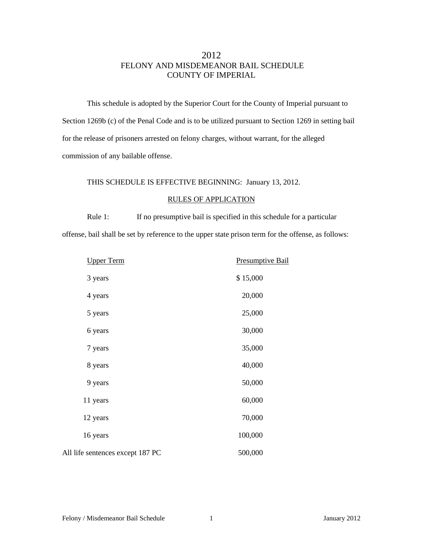## 2012 FELONY AND MISDEMEANOR BAIL SCHEDULE COUNTY OF IMPERIAL

This schedule is adopted by the Superior Court for the County of Imperial pursuant to Section 1269b (c) of the Penal Code and is to be utilized pursuant to Section 1269 in setting bail for the release of prisoners arrested on felony charges, without warrant, for the alleged commission of any bailable offense.

#### THIS SCHEDULE IS EFFECTIVE BEGINNING: January 13, 2012.

#### RULES OF APPLICATION

Rule 1: If no presumptive bail is specified in this schedule for a particular offense, bail shall be set by reference to the upper state prison term for the offense, as follows:

| <b>Upper Term</b>                | <b>Presumptive Bail</b> |
|----------------------------------|-------------------------|
| 3 years                          | \$15,000                |
| 4 years                          | 20,000                  |
| 5 years                          | 25,000                  |
| 6 years                          | 30,000                  |
| 7 years                          | 35,000                  |
| 8 years                          | 40,000                  |
| 9 years                          | 50,000                  |
| 11 years                         | 60,000                  |
| 12 years                         | 70,000                  |
| 16 years                         | 100,000                 |
| All life sentences except 187 PC | 500,000                 |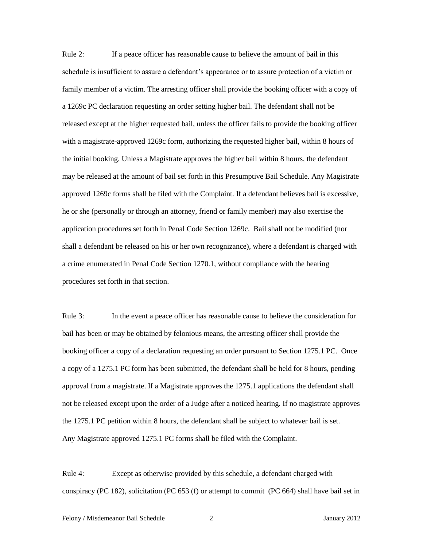Rule 2: If a peace officer has reasonable cause to believe the amount of bail in this schedule is insufficient to assure a defendant's appearance or to assure protection of a victim or family member of a victim. The arresting officer shall provide the booking officer with a copy of a 1269c PC declaration requesting an order setting higher bail. The defendant shall not be released except at the higher requested bail, unless the officer fails to provide the booking officer with a magistrate-approved 1269c form, authorizing the requested higher bail, within 8 hours of the initial booking. Unless a Magistrate approves the higher bail within 8 hours, the defendant may be released at the amount of bail set forth in this Presumptive Bail Schedule. Any Magistrate approved 1269c forms shall be filed with the Complaint. If a defendant believes bail is excessive, he or she (personally or through an attorney, friend or family member) may also exercise the application procedures set forth in Penal Code Section 1269c. Bail shall not be modified (nor shall a defendant be released on his or her own recognizance), where a defendant is charged with a crime enumerated in Penal Code Section 1270.1, without compliance with the hearing procedures set forth in that section.

Rule 3: In the event a peace officer has reasonable cause to believe the consideration for bail has been or may be obtained by felonious means, the arresting officer shall provide the booking officer a copy of a declaration requesting an order pursuant to Section 1275.1 PC. Once a copy of a 1275.1 PC form has been submitted, the defendant shall be held for 8 hours, pending approval from a magistrate. If a Magistrate approves the 1275.1 applications the defendant shall not be released except upon the order of a Judge after a noticed hearing. If no magistrate approves the 1275.1 PC petition within 8 hours, the defendant shall be subject to whatever bail is set. Any Magistrate approved 1275.1 PC forms shall be filed with the Complaint.

Rule 4: Except as otherwise provided by this schedule, a defendant charged with conspiracy (PC 182), solicitation (PC 653 (f) or attempt to commit (PC 664) shall have bail set in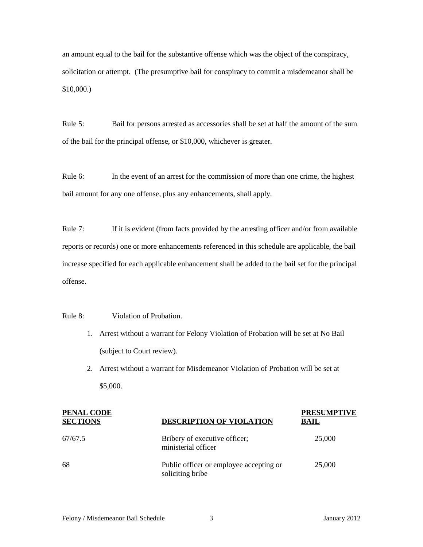an amount equal to the bail for the substantive offense which was the object of the conspiracy, solicitation or attempt. (The presumptive bail for conspiracy to commit a misdemeanor shall be \$10,000.)

Rule 5: Bail for persons arrested as accessories shall be set at half the amount of the sum of the bail for the principal offense, or \$10,000, whichever is greater.

Rule 6: In the event of an arrest for the commission of more than one crime, the highest bail amount for any one offense, plus any enhancements, shall apply.

Rule 7: If it is evident (from facts provided by the arresting officer and/or from available reports or records) one or more enhancements referenced in this schedule are applicable, the bail increase specified for each applicable enhancement shall be added to the bail set for the principal offense.

Rule 8: Violation of Probation.

- 1. Arrest without a warrant for Felony Violation of Probation will be set at No Bail (subject to Court review).
- 2. Arrest without a warrant for Misdemeanor Violation of Probation will be set at \$5,000.

| <b>PENAL CODE</b><br><b>SECTIONS</b> | <b>DESCRIPTION OF VIOLATION</b>                             | <b>PRESUMPTIVE</b><br>BAIL |
|--------------------------------------|-------------------------------------------------------------|----------------------------|
| 67/67.5                              | Bribery of executive officer;<br>ministerial officer        | 25,000                     |
| -68                                  | Public officer or employee accepting or<br>soliciting bribe | 25,000                     |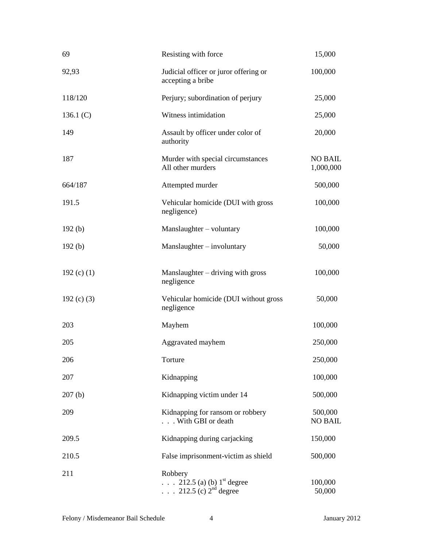| 69              | Resisting with force                                                           | 15,000                      |
|-----------------|--------------------------------------------------------------------------------|-----------------------------|
| 92,93           | Judicial officer or juror offering or<br>accepting a bribe                     | 100,000                     |
| 118/120         | Perjury; subordination of perjury                                              | 25,000                      |
| 136.1 $(C)$     | Witness intimidation                                                           | 25,000                      |
| 149             | Assault by officer under color of<br>authority                                 | 20,000                      |
| 187             | Murder with special circumstances<br>All other murders                         | <b>NO BAIL</b><br>1,000,000 |
| 664/187         | Attempted murder                                                               | 500,000                     |
| 191.5           | Vehicular homicide (DUI with gross<br>negligence)                              | 100,000                     |
| 192(b)          | Manslaughter - voluntary                                                       | 100,000                     |
| 192(b)          | $Manslaughter - involuntary$                                                   | 50,000                      |
| 192 $(c)$ $(1)$ | $Manslaughter - driving with gross$<br>negligence                              | 100,000                     |
| 192 $(c)$ $(3)$ | Vehicular homicide (DUI without gross<br>negligence                            | 50,000                      |
| 203             | Mayhem                                                                         | 100,000                     |
| 205             | Aggravated mayhem                                                              | 250,000                     |
| 206             | Torture                                                                        | 250,000                     |
| 207             | Kidnapping                                                                     | 100,000                     |
| 207(b)          | Kidnapping victim under 14                                                     | 500,000                     |
| 209             | Kidnapping for ransom or robbery<br>With GBI or death                          | 500,000<br><b>NO BAIL</b>   |
| 209.5           | Kidnapping during carjacking                                                   | 150,000                     |
| 210.5           | False imprisonment-victim as shield                                            | 500,000                     |
| 211             | Robbery<br>212.5 (a) (b) $1^{\text{st}}$ degree<br>. 212.5 (c) $2^{nd}$ degree | 100,000<br>50,000           |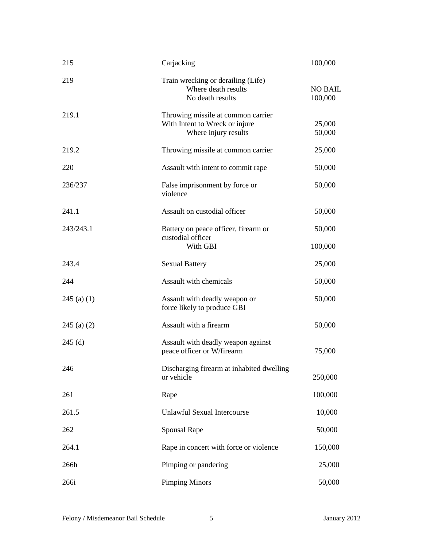| 215           | Carjacking                                                                                   | 100,000                   |
|---------------|----------------------------------------------------------------------------------------------|---------------------------|
| 219           | Train wrecking or derailing (Life)<br>Where death results<br>No death results                | <b>NO BAIL</b><br>100,000 |
| 219.1         | Throwing missile at common carrier<br>With Intent to Wreck or injure<br>Where injury results | 25,000<br>50,000          |
| 219.2         | Throwing missile at common carrier                                                           | 25,000                    |
| 220           | Assault with intent to commit rape                                                           | 50,000                    |
| 236/237       | False imprisonment by force or<br>violence                                                   | 50,000                    |
| 241.1         | Assault on custodial officer                                                                 | 50,000                    |
| 243/243.1     | Battery on peace officer, firearm or                                                         | 50,000                    |
|               | custodial officer<br>With GBI                                                                | 100,000                   |
| 243.4         | <b>Sexual Battery</b>                                                                        | 25,000                    |
| 244           | Assault with chemicals                                                                       | 50,000                    |
| $245$ (a) (1) | Assault with deadly weapon or<br>force likely to produce GBI                                 | 50,000                    |
| $245$ (a) (2) | Assault with a firearm                                                                       | 50,000                    |
| $245$ (d)     | Assault with deadly weapon against<br>peace officer or W/firearm                             | 75,000                    |
| 246           | Discharging firearm at inhabited dwelling<br>or vehicle                                      | 250,000                   |
| 261           | Rape                                                                                         | 100,000                   |
| 261.5         | <b>Unlawful Sexual Intercourse</b>                                                           | 10,000                    |
| 262           | <b>Spousal Rape</b>                                                                          | 50,000                    |
| 264.1         | Rape in concert with force or violence                                                       | 150,000                   |
| 266h          | Pimping or pandering                                                                         | 25,000                    |
| 266i          | <b>Pimping Minors</b>                                                                        | 50,000                    |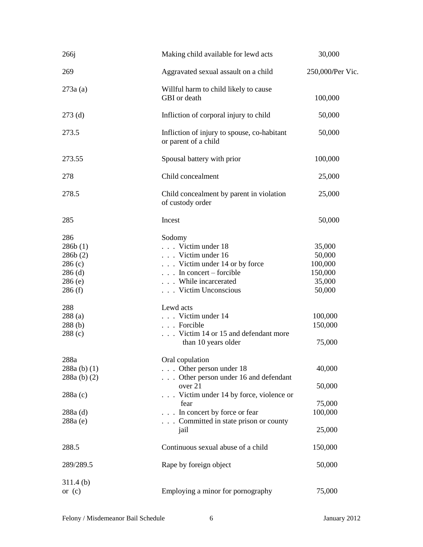| 266j                                                                 | Making child available for lewd acts                                                                                                                          | 30,000                                                     |
|----------------------------------------------------------------------|---------------------------------------------------------------------------------------------------------------------------------------------------------------|------------------------------------------------------------|
| 269                                                                  | Aggravated sexual assault on a child                                                                                                                          | 250,000/Per Vic.                                           |
| 273a(a)                                                              | Willful harm to child likely to cause<br>GBI or death                                                                                                         | 100,000                                                    |
| $273$ (d)                                                            | Infliction of corporal injury to child                                                                                                                        | 50,000                                                     |
| 273.5                                                                | Infliction of injury to spouse, co-habitant<br>or parent of a child                                                                                           | 50,000                                                     |
| 273.55                                                               | Spousal battery with prior                                                                                                                                    | 100,000                                                    |
| 278                                                                  | Child concealment                                                                                                                                             | 25,000                                                     |
| 278.5                                                                | Child concealment by parent in violation<br>of custody order                                                                                                  | 25,000                                                     |
| 285                                                                  | Incest                                                                                                                                                        | 50,000                                                     |
| 286<br>286b(1)<br>286b(2)<br>286(c)<br>$286$ (d)<br>286(e)<br>286(f) | Sodomy<br>Victim under 18<br>Victim under 16<br>Victim under 14 or by force<br>$\ldots$ In concert – forcible<br>. While incarcerated<br>. Victim Unconscious | 35,000<br>50,000<br>100,000<br>150,000<br>35,000<br>50,000 |
| 288<br>288(a)<br>288(b)<br>288(c)                                    | Lewd acts<br>Victim under 14<br>Forcible<br>Victim 14 or 15 and defendant more<br>than 10 years older                                                         | 100,000<br>150,000<br>75,000                               |
| 288a<br>288a (b) (1)<br>$288a$ (b) (2)                               | Oral copulation<br>$\ldots$ Other person under 18<br>Other person under 16 and defendant                                                                      | 40,000                                                     |
| 288a(c)                                                              | over 21<br>Victim under 14 by force, violence or                                                                                                              | 50,000                                                     |
| $288a$ (d)<br>288a (e)                                               | fear<br>. In concert by force or fear<br>Committed in state prison or county<br>jail                                                                          | 75,000<br>100,000<br>25,000                                |
| 288.5                                                                | Continuous sexual abuse of a child                                                                                                                            | 150,000                                                    |
| 289/289.5                                                            | Rape by foreign object                                                                                                                                        | 50,000                                                     |
| 311.4(b)<br>or $(c)$                                                 | Employing a minor for pornography                                                                                                                             | 75,000                                                     |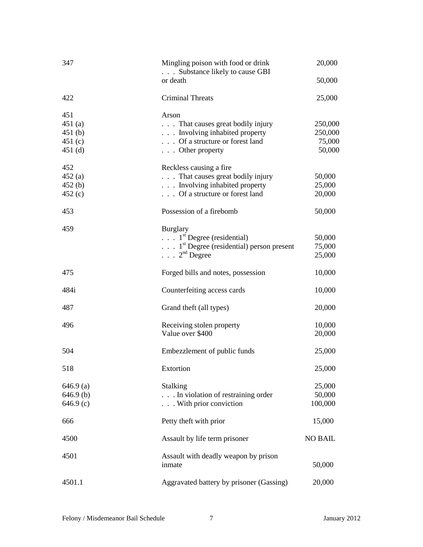| 347<br>Mingling poison with food or drink<br>. Substance likely to cause GBI |                                                              | 20,000         |
|------------------------------------------------------------------------------|--------------------------------------------------------------|----------------|
|                                                                              | or death                                                     | 50,000         |
| 422                                                                          | <b>Criminal Threats</b>                                      | 25,000         |
| 451                                                                          | Arson                                                        |                |
| 451(a)                                                                       | That causes great bodily injury                              | 250,000        |
| 451(b)                                                                       | . Involving inhabited property                               | 250,000        |
| 451 $(c)$                                                                    | Of a structure or forest land                                | 75,000         |
| $451$ (d)                                                                    | . Other property                                             | 50,000         |
| 452                                                                          | Reckless causing a fire                                      |                |
| 452(a)                                                                       | . That causes great bodily injury                            | 50,000         |
| 452(b)                                                                       | . Involving inhabited property                               | 25,000         |
| 452(c)                                                                       | . Of a structure or forest land                              | 20,000         |
| 453                                                                          | Possession of a firebomb                                     | 50,000         |
| 459                                                                          | <b>Burglary</b>                                              |                |
|                                                                              | $\ldots$ 1 <sup>st</sup> Degree (residential)                | 50,000         |
|                                                                              | $\ldots$ 1 <sup>st</sup> Degree (residential) person present | 75,000         |
|                                                                              | $\ldots$ 2 <sup>nd</sup> Degree                              | 25,000         |
| 475                                                                          | Forged bills and notes, possession                           | 10,000         |
| 484i                                                                         | Counterfeiting access cards                                  | 10,000         |
| 487                                                                          | Grand theft (all types)                                      | 20,000         |
| 496                                                                          | Receiving stolen property                                    | 10,000         |
|                                                                              | Value over \$400                                             | 20,000         |
| 504                                                                          | Embezzlement of public funds                                 | 25,000         |
| 518                                                                          | Extortion                                                    | 25,000         |
| $646.9$ (a)                                                                  | Stalking                                                     | 25,000         |
| $646.9$ (b)                                                                  | In violation of restraining order                            | 50,000         |
| 646.9(c)                                                                     | . With prior conviction                                      | 100,000        |
| 666                                                                          | Petty theft with prior                                       | 15,000         |
| 4500                                                                         | Assault by life term prisoner                                | <b>NO BAIL</b> |
| 4501                                                                         | Assault with deadly weapon by prison<br>inmate               | 50,000         |
| 4501.1                                                                       | Aggravated battery by prisoner (Gassing)                     | 20,000         |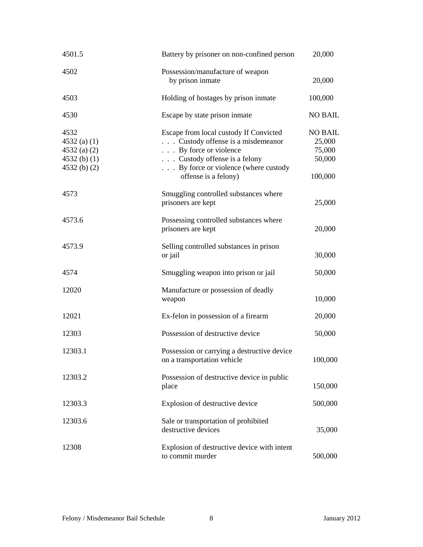| 4501.5                                                                 | Battery by prisoner on non-confined person                                                                                                                                                             | 20,000                                                  |
|------------------------------------------------------------------------|--------------------------------------------------------------------------------------------------------------------------------------------------------------------------------------------------------|---------------------------------------------------------|
| 4502                                                                   | Possession/manufacture of weapon<br>by prison inmate                                                                                                                                                   | 20,000                                                  |
| 4503                                                                   | Holding of hostages by prison inmate                                                                                                                                                                   | 100,000                                                 |
| 4530                                                                   | Escape by state prison inmate                                                                                                                                                                          | <b>NO BAIL</b>                                          |
| 4532<br>$4532$ (a) (1)<br>$4532$ (a) (2)<br>4532(b) (1)<br>4532(b) (2) | Escape from local custody If Convicted<br>. Custody offense is a misdemeanor<br>. By force or violence<br>. Custody offense is a felony<br>By force or violence (where custody<br>offense is a felony) | <b>NO BAIL</b><br>25,000<br>75,000<br>50,000<br>100,000 |
| 4573                                                                   | Smuggling controlled substances where<br>prisoners are kept                                                                                                                                            | 25,000                                                  |
| 4573.6                                                                 | Possessing controlled substances where<br>prisoners are kept                                                                                                                                           | 20,000                                                  |
| 4573.9                                                                 | Selling controlled substances in prison<br>or jail                                                                                                                                                     | 30,000                                                  |
| 4574                                                                   | Smuggling weapon into prison or jail                                                                                                                                                                   | 50,000                                                  |
| 12020                                                                  | Manufacture or possession of deadly<br>weapon                                                                                                                                                          | 10,000                                                  |
| 12021                                                                  | Ex-felon in possession of a firearm                                                                                                                                                                    | 20,000                                                  |
| 12303                                                                  | Possession of destructive device                                                                                                                                                                       | 50,000                                                  |
| 12303.1                                                                | Possession or carrying a destructive device<br>on a transportation vehicle                                                                                                                             | 100,000                                                 |
| 12303.2                                                                | Possession of destructive device in public<br>place                                                                                                                                                    | 150,000                                                 |
| 12303.3                                                                | Explosion of destructive device                                                                                                                                                                        | 500,000                                                 |
| 12303.6                                                                | Sale or transportation of prohibited<br>destructive devices                                                                                                                                            | 35,000                                                  |
| 12308                                                                  | Explosion of destructive device with intent<br>to commit murder                                                                                                                                        | 500,000                                                 |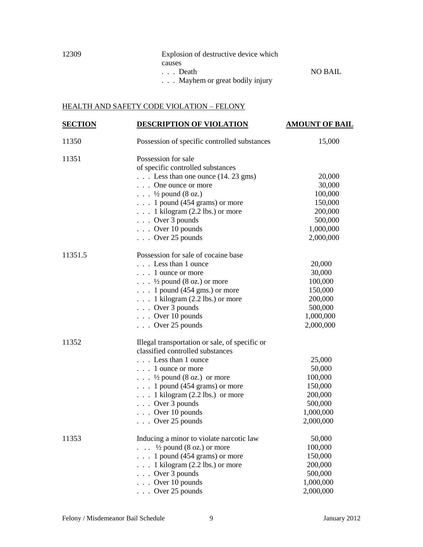| 12309 | Explosion of destructive device which  |                |
|-------|----------------------------------------|----------------|
|       | causes                                 |                |
|       | Death                                  | <b>NO BAIL</b> |
|       | $\ldots$ Mayhem or great bodily injury |                |

## HEALTH AND SAFETY CODE VIOLATION – FELONY

| <b>SECTION</b> | DESCRIPTION OF VIOLATION                                 | <b>AMOUNT OF BAIL</b> |
|----------------|----------------------------------------------------------|-----------------------|
| 11350          | Possession of specific controlled substances             | 15,000                |
| 11351          | Possession for sale<br>of specific controlled substances |                       |
|                | $\ldots$ Less than one ounce (14. 23 gms)                | 20,000                |
|                | One ounce or more                                        | 30,000                |
|                | $\ldots$ $\frac{1}{2}$ pound (8 oz.)                     | 100,000               |
|                | $\ldots$ 1 pound (454 grams) or more                     | 150,000               |
|                | $\ldots$ 1 kilogram (2.2 lbs.) or more                   | 200,000               |
|                | $\ldots$ Over 3 pounds                                   | 500,000               |
|                | . Over 10 pounds                                         | 1,000,000             |
|                | Over 25 pounds                                           | 2,000,000             |
| 11351.5        | Possession for sale of cocaine base                      |                       |
|                | Less than 1 ounce                                        | 20,000                |
|                | 1 ounce or more                                          | 30,000                |
|                | $\ldots$ $\frac{1}{2}$ pound (8 oz.) or more             | 100,000               |
|                | $\ldots$ 1 pound (454 gms.) or more                      | 150,000               |
|                | $\ldots$ 1 kilogram (2.2 lbs.) or more                   | 200,000               |
|                | . Over 3 pounds                                          | 500,000               |
|                | . Over 10 pounds                                         | 1,000,000             |
|                | . Over 25 pounds                                         | 2,000,000             |
| 11352          | Illegal transportation or sale, of specific or           |                       |
|                | classified controlled substances                         |                       |
|                | Less than 1 ounce                                        | 25,000                |
|                | 1 ounce or more                                          | 50,000                |
|                | $\ldots$ $\frac{1}{2}$ pound (8 oz.) or more             | 100,000               |
|                | $\ldots$ 1 pound (454 grams) or more                     | 150,000               |
|                | $\ldots$ 1 kilogram (2.2 lbs.) or more                   | 200,000               |
|                | $\ldots$ Over 3 pounds                                   | 500,000               |
|                | $\ldots$ Over 10 pounds                                  | 1,000,000             |
|                | $\ldots$ Over 25 pounds                                  | 2,000,000             |
| 11353          | Inducing a minor to violate narcotic law                 | 50,000                |
|                | $\ldots$ 1/2 pound (8 oz.) or more                       | 100,000               |
|                | $\ldots$ 1 pound (454 grams) or more                     | 150,000               |
|                | $\ldots$ 1 kilogram (2.2 lbs.) or more                   | 200,000               |
|                | $\ldots$ Over 3 pounds                                   | 500,000               |
|                | $\ldots$ Over 10 pounds                                  | 1,000,000             |
|                | . Over 25 pounds                                         | 2,000,000             |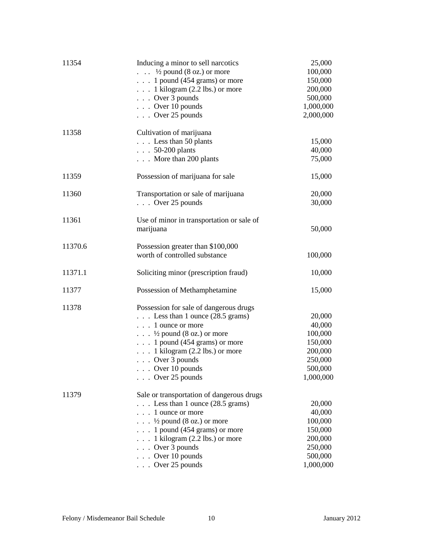| 11354   | Inducing a minor to sell narcotics           | 25,000    |
|---------|----------------------------------------------|-----------|
|         | $\ldots$ 1/2 pound (8 oz.) or more           | 100,000   |
|         | $\ldots$ 1 pound (454 grams) or more         | 150,000   |
|         | $\ldots$ 1 kilogram (2.2 lbs.) or more       | 200,000   |
|         | $\ldots$ Over 3 pounds                       | 500,000   |
|         | $\ldots$ Over 10 pounds                      | 1,000,000 |
|         | $\ldots$ Over 25 pounds                      | 2,000,000 |
| 11358   | Cultivation of marijuana                     |           |
|         | $\ldots$ Less than 50 plants                 | 15,000    |
|         | $\ldots$ 50-200 plants                       | 40,000    |
|         | $\ldots$ More than 200 plants                | 75,000    |
|         |                                              |           |
| 11359   | Possession of marijuana for sale             | 15,000    |
| 11360   | Transportation or sale of marijuana          | 20,000    |
|         | $\ldots$ Over 25 pounds                      | 30,000    |
| 11361   | Use of minor in transportation or sale of    |           |
|         | marijuana                                    | 50,000    |
| 11370.6 | Possession greater than \$100,000            |           |
|         | worth of controlled substance                | 100,000   |
| 11371.1 | Soliciting minor (prescription fraud)        | 10,000    |
| 11377   | Possession of Methamphetamine                | 15,000    |
| 11378   | Possession for sale of dangerous drugs       |           |
|         | $\ldots$ Less than 1 ounce (28.5 grams)      | 20,000    |
|         | 1 ounce or more                              | 40,000    |
|         | $\ldots$ $\frac{1}{2}$ pound (8 oz.) or more | 100,000   |
|         | $\ldots$ 1 pound (454 grams) or more         | 150,000   |
|         | $\ldots$ 1 kilogram (2.2 lbs.) or more       | 200,000   |
|         | $\ldots$ Over 3 pounds                       | 250,000   |
|         | $\ldots$ Over 10 pounds                      | 500,000   |
|         | $\ldots$ Over 25 pounds                      | 1,000,000 |
| 11379   | Sale or transportation of dangerous drugs    |           |
|         | $\ldots$ Less than 1 ounce (28.5 grams)      | 20,000    |
|         | $\ldots$ 1 ounce or more                     | 40,000    |
|         | $\ldots$ $\frac{1}{2}$ pound (8 oz.) or more | 100,000   |
|         | $\ldots$ 1 pound (454 grams) or more         | 150,000   |
|         | . 1 kilogram $(2.2$ lbs.) or more            | 200,000   |
|         | Over 3 pounds<br>$\cdots$                    | 250,000   |
|         | Over 10 pounds<br>$\cdots$                   | 500,000   |
|         | $\ldots$ Over 25 pounds                      | 1,000,000 |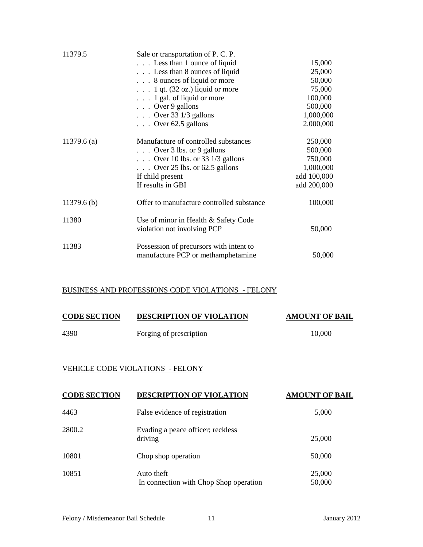| 11379.5       | Sale or transportation of P. C. P.        |             |
|---------------|-------------------------------------------|-------------|
|               | Less than 1 ounce of liquid               | 15,000      |
|               | Less than 8 ounces of liquid              | 25,000      |
|               | $\ldots$ 8 ounces of liquid or more       | 50,000      |
|               | $\ldots$ 1 qt. (32 oz.) liquid or more    | 75,000      |
|               | $\ldots$ 1 gal. of liquid or more         | 100,000     |
|               | $\ldots$ Over 9 gallons                   | 500,000     |
|               | $\ldots$ Over 33 1/3 gallons              | 1,000,000   |
|               | $\ldots$ Over 62.5 gallons                | 2,000,000   |
| $11379.6$ (a) | Manufacture of controlled substances      | 250,000     |
|               | $\ldots$ Over 3 lbs. or 9 gallons         | 500,000     |
|               | $\ldots$ Over 10 lbs. or 33 1/3 gallons   | 750,000     |
|               | $\ldots$ Over 25 lbs. or 62.5 gallons     | 1,000,000   |
|               | If child present                          | add 100,000 |
|               | If results in GBI                         | add 200,000 |
| $11379.6$ (b) | Offer to manufacture controlled substance | 100,000     |
| 11380         | Use of minor in Health & Safety Code      |             |
|               | violation not involving PCP               | 50,000      |
| 11383         | Possession of precursors with intent to   |             |
|               | manufacture PCP or methamphetamine        | 50,000      |

# BUSINESS AND PROFESSIONS CODE VIOLATIONS - FELONY

| <b>CODE SECTION</b> | <b>DESCRIPTION OF VIOLATION</b> | <b>AMOUNT OF BAIL</b> |
|---------------------|---------------------------------|-----------------------|
| 4390                | Forging of prescription         | 10,000                |

### VEHICLE CODE VIOLATIONS - FELONY

| <b>CODE SECTION</b> | <b>DESCRIPTION OF VIOLATION</b>                      | <b>AMOUNT OF BAIL</b> |
|---------------------|------------------------------------------------------|-----------------------|
| 4463                | False evidence of registration                       | 5,000                 |
| 2800.2              | Evading a peace officer; reckless<br>driving         | 25,000                |
| 10801               | Chop shop operation                                  | 50,000                |
| 10851               | Auto theft<br>In connection with Chop Shop operation | 25,000<br>50,000      |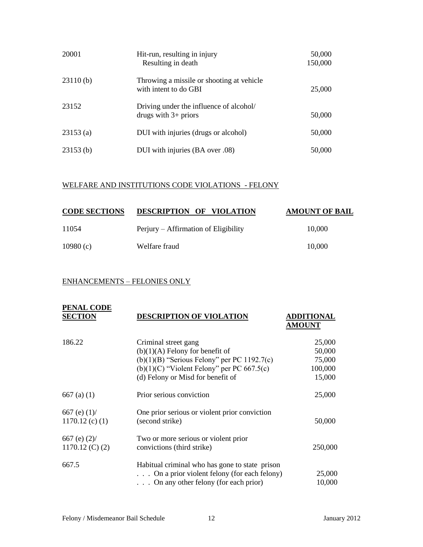| 20001    | Hit-run, resulting in injury<br>Resulting in death                 | 50,000<br>150,000 |
|----------|--------------------------------------------------------------------|-------------------|
| 23110(b) | Throwing a missile or shooting at vehicle<br>with intent to do GBI | 25,000            |
| 23152    | Driving under the influence of alcohol/<br>drugs with $3+$ priors  | 50,000            |
| 23153(a) | DUI with injuries (drugs or alcohol)                               | 50,000            |
| 23153(b) | DUI with injuries (BA over .08)                                    | 50,000            |

### WELFARE AND INSTITUTIONS CODE VIOLATIONS - FELONY

| <b>CODE SECTIONS</b> | DESCRIPTION OF VIOLATION             | <b>AMOUNT OF BAIL</b> |
|----------------------|--------------------------------------|-----------------------|
| 11054                | Perjury – Affirmation of Eligibility | 10,000                |
| 10980 $(c)$          | Welfare fraud                        | 10,000                |

#### ENHANCEMENTS – FELONIES ONLY

| <b>PENAL CODE</b><br><b>SECTION</b>  | <b>DESCRIPTION OF VIOLATION</b>                                                                                                                                                                 | ADDITIONAL<br><b>AMOUNT</b>                     |
|--------------------------------------|-------------------------------------------------------------------------------------------------------------------------------------------------------------------------------------------------|-------------------------------------------------|
| 186.22                               | Criminal street gang<br>$(b)(1)(A)$ Felony for benefit of<br>$(b)(1)(B)$ "Serious Felony" per PC 1192.7(c)<br>$(b)(1)(C)$ "Violent Felony" per PC 667.5(c)<br>(d) Felony or Misd for benefit of | 25,000<br>50,000<br>75,000<br>100,000<br>15,000 |
| $667$ (a) (1)                        | Prior serious conviction                                                                                                                                                                        | 25,000                                          |
| 667 (e) $(1)$ /<br>$1170.12$ (c) (1) | One prior serious or violent prior conviction<br>(second strike)                                                                                                                                | 50,000                                          |
| 667 (e) $(2)$ /<br>$1170.12$ (C) (2) | Two or more serious or violent prior<br>convictions (third strike)                                                                                                                              | 250,000                                         |
| 667.5                                | Habitual criminal who has gone to state prison<br>$\ldots$ On a prior violent felony (for each felony)<br>$\ldots$ On any other felony (for each prior)                                         | 25,000<br>10,000                                |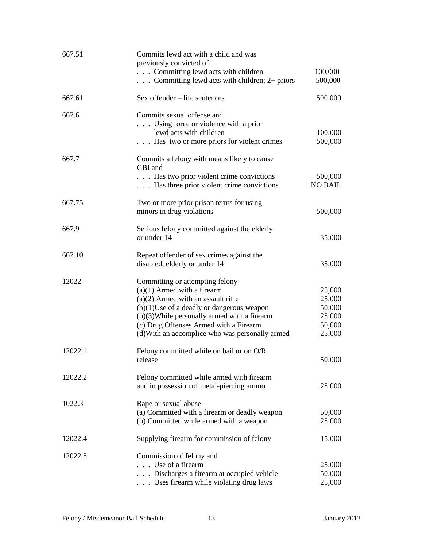| 667.51  | Commits lewd act with a child and was<br>previously convicted of                                                                                                                                                                                                                                        |                                                          |
|---------|---------------------------------------------------------------------------------------------------------------------------------------------------------------------------------------------------------------------------------------------------------------------------------------------------------|----------------------------------------------------------|
|         | Committing lewd acts with children<br>$\ldots$ Committing lewd acts with children; 2+ priors                                                                                                                                                                                                            | 100,000<br>500,000                                       |
| 667.61  | Sex offender - life sentences                                                                                                                                                                                                                                                                           | 500,000                                                  |
| 667.6   | Commits sexual offense and<br>Using force or violence with a prior<br>lewd acts with children<br>Has two or more priors for violent crimes                                                                                                                                                              | 100,000<br>500,000                                       |
| 667.7   | Commits a felony with means likely to cause<br>GBI and<br>Has two prior violent crime convictions<br>Has three prior violent crime convictions                                                                                                                                                          | 500,000<br><b>NO BAIL</b>                                |
| 667.75  | Two or more prior prison terms for using<br>minors in drug violations                                                                                                                                                                                                                                   | 500,000                                                  |
| 667.9   | Serious felony committed against the elderly<br>or under 14                                                                                                                                                                                                                                             | 35,000                                                   |
| 667.10  | Repeat offender of sex crimes against the<br>disabled, elderly or under 14                                                                                                                                                                                                                              | 35,000                                                   |
| 12022   | Committing or attempting felony<br>$(a)(1)$ Armed with a firearm<br>$(a)(2)$ Armed with an assault rifle<br>$(b)(1)$ Use of a deadly or dangerous weapon<br>$(b)(3)$ While personally armed with a firearm<br>(c) Drug Offenses Armed with a Firearm<br>(d) With an accomplice who was personally armed | 25,000<br>25,000<br>50,000<br>25,000<br>50,000<br>25,000 |
| 12022.1 | Felony committed while on bail or on O/R<br>release                                                                                                                                                                                                                                                     | 50,000                                                   |
| 12022.2 | Felony committed while armed with firearm<br>and in possession of metal-piercing ammo                                                                                                                                                                                                                   | 25,000                                                   |
| 1022.3  | Rape or sexual abuse<br>(a) Committed with a firearm or deadly weapon<br>(b) Committed while armed with a weapon                                                                                                                                                                                        | 50,000<br>25,000                                         |
| 12022.4 | Supplying firearm for commission of felony                                                                                                                                                                                                                                                              | 15,000                                                   |
| 12022.5 | Commission of felony and<br>Use of a firearm<br>Discharges a firearm at occupied vehicle<br>Uses firearm while violating drug laws                                                                                                                                                                      | 25,000<br>50,000<br>25,000                               |